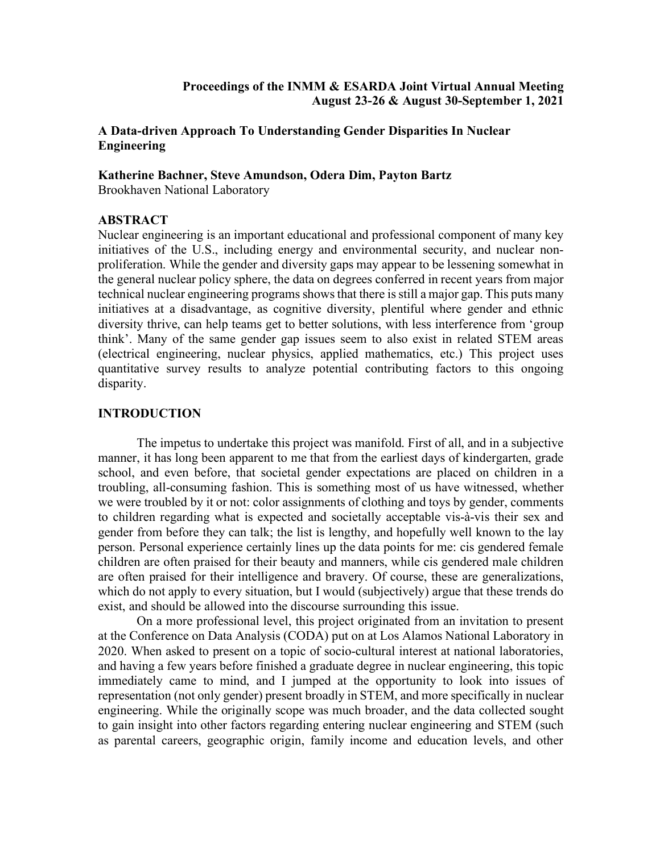## **Proceedings of the INMM & ESARDA Joint Virtual Annual Meeting August 23-26 & August 30-September 1, 2021**

# **A Data-driven Approach To Understanding Gender Disparities In Nuclear Engineering**

**Katherine Bachner, Steve Amundson, Odera Dim, Payton Bartz** Brookhaven National Laboratory

## **ABSTRACT**

Nuclear engineering is an important educational and professional component of many key initiatives of the U.S., including energy and environmental security, and nuclear nonproliferation. While the gender and diversity gaps may appear to be lessening somewhat in the general nuclear policy sphere, the data on degrees conferred in recent years from major technical nuclear engineering programs shows that there is still a major gap. This puts many initiatives at a disadvantage, as cognitive diversity, plentiful where gender and ethnic diversity thrive, can help teams get to better solutions, with less interference from 'group think'. Many of the same gender gap issues seem to also exist in related STEM areas (electrical engineering, nuclear physics, applied mathematics, etc.) This project uses quantitative survey results to analyze potential contributing factors to this ongoing disparity.

# **INTRODUCTION**

The impetus to undertake this project was manifold. First of all, and in a subjective manner, it has long been apparent to me that from the earliest days of kindergarten, grade school, and even before, that societal gender expectations are placed on children in a troubling, all-consuming fashion. This is something most of us have witnessed, whether we were troubled by it or not: color assignments of clothing and toys by gender, comments to children regarding what is expected and societally acceptable vis-à-vis their sex and gender from before they can talk; the list is lengthy, and hopefully well known to the lay person. Personal experience certainly lines up the data points for me: cis gendered female children are often praised for their beauty and manners, while cis gendered male children are often praised for their intelligence and bravery. Of course, these are generalizations, which do not apply to every situation, but I would (subjectively) argue that these trends do exist, and should be allowed into the discourse surrounding this issue.

On a more professional level, this project originated from an invitation to present at the Conference on Data Analysis (CODA) put on at Los Alamos National Laboratory in 2020. When asked to present on a topic of socio-cultural interest at national laboratories, and having a few years before finished a graduate degree in nuclear engineering, this topic immediately came to mind, and I jumped at the opportunity to look into issues of representation (not only gender) present broadly in STEM, and more specifically in nuclear engineering. While the originally scope was much broader, and the data collected sought to gain insight into other factors regarding entering nuclear engineering and STEM (such as parental careers, geographic origin, family income and education levels, and other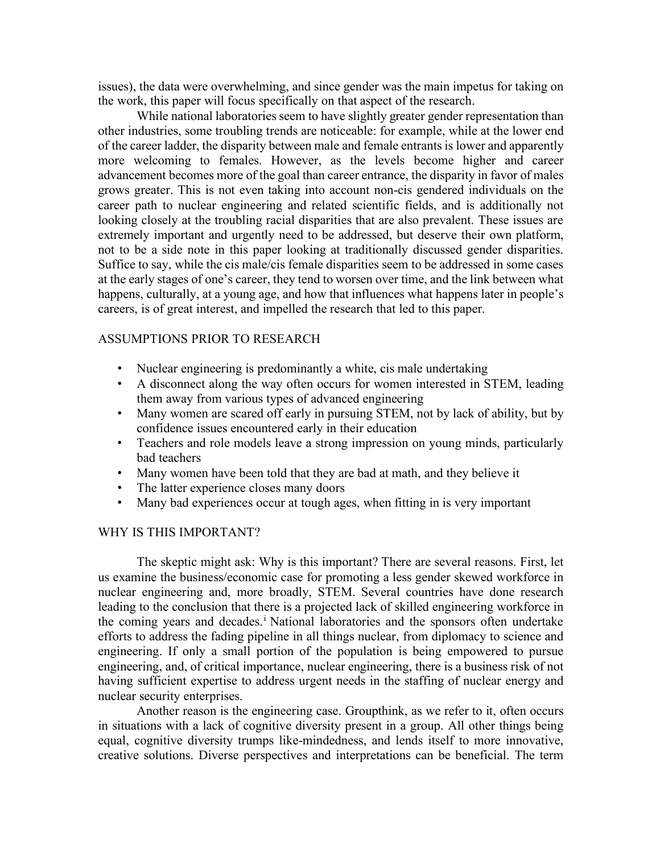issues), the data were overwhelming, and since gender was the main impetus for taking on the work, this paper will focus specifically on that aspect of the research.

While national laboratories seem to have slightly greater gender representation than other industries, some troubling trends are noticeable: for example, while at the lower end of the career ladder, the disparity between male and female entrants is lower and apparently more welcoming to females. However, as the levels become higher and career advancement becomes more of the goal than career entrance, the disparity in favor of males grows greater. This is not even taking into account non-cis gendered individuals on the career path to nuclear engineering and related scientific fields, and is additionally not looking closely at the troubling racial disparities that are also prevalent. These issues are extremely important and urgently need to be addressed, but deserve their own platform, not to be a side note in this paper looking at traditionally discussed gender disparities. Suffice to say, while the cis male/cis female disparities seem to be addressed in some cases at the early stages of one's career, they tend to worsen over time, and the link between what happens, culturally, at a young age, and how that influences what happens later in people's careers, is of great interest, and impelled the research that led to this paper.

### ASSUMPTIONS PRIOR TO RESEARCH

- Nuclear engineering is predominantly a white, cis male undertaking
- A disconnect along the way often occurs for women interested in STEM, leading them away from various types of advanced engineering
- Many women are scared off early in pursuing STEM, not by lack of ability, but by confidence issues encountered early in their education
- Teachers and role models leave a strong impression on young minds, particularly bad teachers
- Many women have been told that they are bad at math, and they believe it
- The latter experience closes many doors
- Many bad experiences occur at tough ages, when fitting in is very important

#### WHY IS THIS IMPORTANT?

The skeptic might ask: Why is this important? There are several reasons. First, let us examine the business/economic case for promoting a less gender skewed workforce in nuclear engineering and, more broadly, STEM. Several countries have done research leading to the conclusion that there is a projected lack of skilled engineering workforce in the coming years and decades.<sup>i</sup> National laboratories and the sponsors often undertake efforts to address the fading pipeline in all things nuclear, from diplomacy to science and engineering. If only a small portion of the population is being empowered to pursue engineering, and, of critical importance, nuclear engineering, there is a business risk of not having sufficient expertise to address urgent needs in the staffing of nuclear energy and nuclear security enterprises.

Another reason is the engineering case. Groupthink, as we refer to it, often occurs in situations with a lack of cognitive diversity present in a group. All other things being equal, cognitive diversity trumps like-mindedness, and lends itself to more innovative, creative solutions. Diverse perspectives and interpretations can be beneficial. The term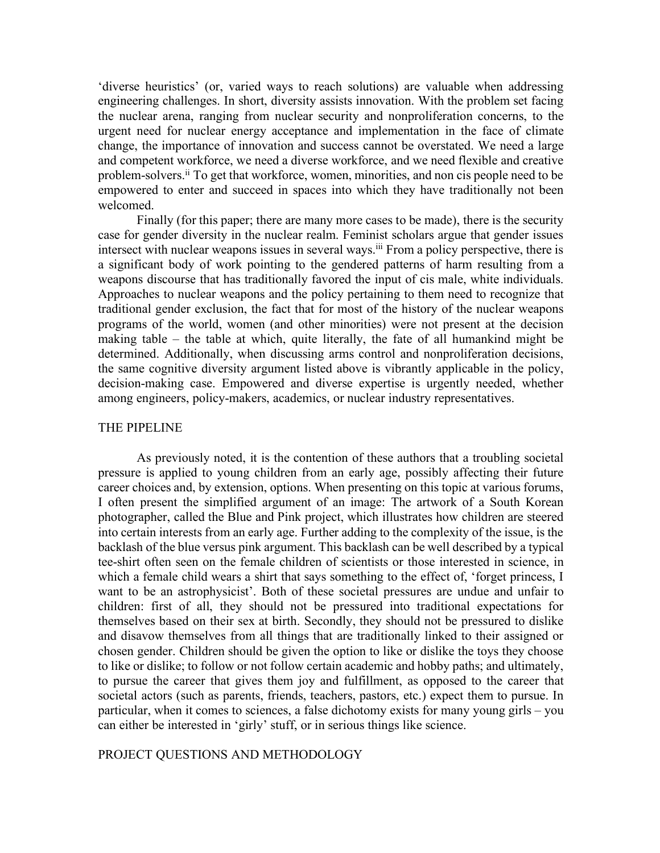'diverse heuristics' (or, varied ways to reach solutions) are valuable when addressing engineering challenges. In short, diversity assists innovation. With the problem set facing the nuclear arena, ranging from nuclear security and nonproliferation concerns, to the urgent need for nuclear energy acceptance and implementation in the face of climate change, the importance of innovation and success cannot be overstated. We need a large and competent workforce, we need a diverse workforce, and we need flexible and creative problem-solvers.ii To get that workforce, women, minorities, and non cis people need to be empowered to enter and succeed in spaces into which they have traditionally not been welcomed.

Finally (for this paper; there are many more cases to be made), there is the security case for gender diversity in the nuclear realm. Feminist scholars argue that gender issues intersect with nuclear weapons issues in several ways.<sup>iii</sup> From a policy perspective, there is a significant body of work pointing to the gendered patterns of harm resulting from a weapons discourse that has traditionally favored the input of cis male, white individuals. Approaches to nuclear weapons and the policy pertaining to them need to recognize that traditional gender exclusion, the fact that for most of the history of the nuclear weapons programs of the world, women (and other minorities) were not present at the decision making table – the table at which, quite literally, the fate of all humankind might be determined. Additionally, when discussing arms control and nonproliferation decisions, the same cognitive diversity argument listed above is vibrantly applicable in the policy, decision-making case. Empowered and diverse expertise is urgently needed, whether among engineers, policy-makers, academics, or nuclear industry representatives.

#### THE PIPELINE

As previously noted, it is the contention of these authors that a troubling societal pressure is applied to young children from an early age, possibly affecting their future career choices and, by extension, options. When presenting on this topic at various forums, I often present the simplified argument of an image: The artwork of a South Korean photographer, called the Blue and Pink project, which illustrates how children are steered into certain interests from an early age. Further adding to the complexity of the issue, is the backlash of the blue versus pink argument. This backlash can be well described by a typical tee-shirt often seen on the female children of scientists or those interested in science, in which a female child wears a shirt that says something to the effect of, 'forget princess, I want to be an astrophysicist'. Both of these societal pressures are undue and unfair to children: first of all, they should not be pressured into traditional expectations for themselves based on their sex at birth. Secondly, they should not be pressured to dislike and disavow themselves from all things that are traditionally linked to their assigned or chosen gender. Children should be given the option to like or dislike the toys they choose to like or dislike; to follow or not follow certain academic and hobby paths; and ultimately, to pursue the career that gives them joy and fulfillment, as opposed to the career that societal actors (such as parents, friends, teachers, pastors, etc.) expect them to pursue. In particular, when it comes to sciences, a false dichotomy exists for many young girls – you can either be interested in 'girly' stuff, or in serious things like science.

PROJECT QUESTIONS AND METHODOLOGY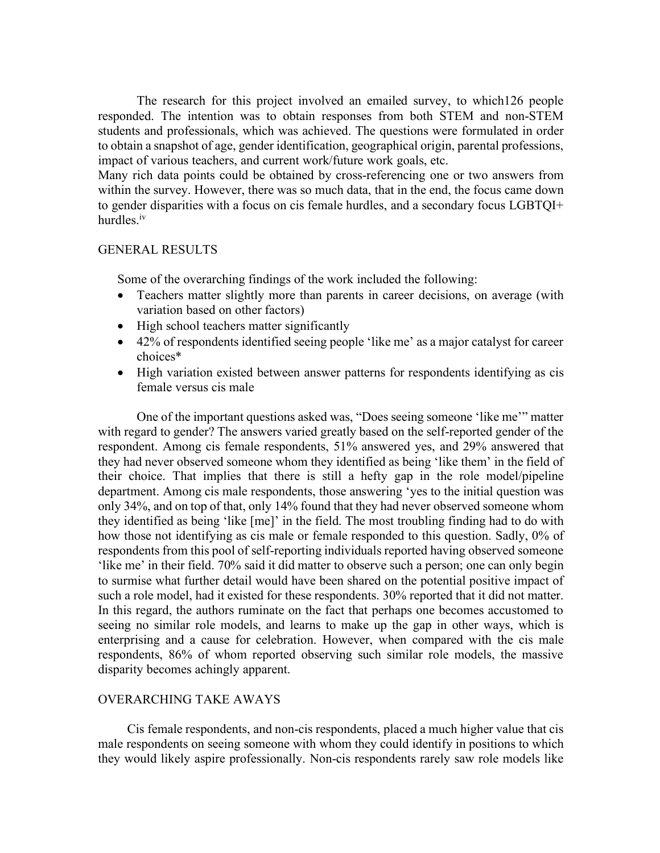The research for this project involved an emailed survey, to which126 people responded. The intention was to obtain responses from both STEM and non-STEM students and professionals, which was achieved. The questions were formulated in order to obtain a snapshot of age, gender identification, geographical origin, parental professions, impact of various teachers, and current work/future work goals, etc.

Many rich data points could be obtained by cross-referencing one or two answers from within the survey. However, there was so much data, that in the end, the focus came down to gender disparities with a focus on cis female hurdles, and a secondary focus LGBTQI+ hurdles.iv

### GENERAL RESULTS

Some of the overarching findings of the work included the following:

- Teachers matter slightly more than parents in career decisions, on average (with variation based on other factors)
- High school teachers matter significantly
- 42% of respondents identified seeing people 'like me' as a major catalyst for career choices\*
- High variation existed between answer patterns for respondents identifying as cis female versus cis male

One of the important questions asked was, "Does seeing someone 'like me'" matter with regard to gender? The answers varied greatly based on the self-reported gender of the respondent. Among cis female respondents, 51% answered yes, and 29% answered that they had never observed someone whom they identified as being 'like them' in the field of their choice. That implies that there is still a hefty gap in the role model/pipeline department. Among cis male respondents, those answering 'yes to the initial question was only 34%, and on top of that, only 14% found that they had never observed someone whom they identified as being 'like [me]' in the field. The most troubling finding had to do with how those not identifying as cis male or female responded to this question. Sadly, 0% of respondents from this pool of self-reporting individuals reported having observed someone 'like me' in their field. 70% said it did matter to observe such a person; one can only begin to surmise what further detail would have been shared on the potential positive impact of such a role model, had it existed for these respondents. 30% reported that it did not matter. In this regard, the authors ruminate on the fact that perhaps one becomes accustomed to seeing no similar role models, and learns to make up the gap in other ways, which is enterprising and a cause for celebration. However, when compared with the cis male respondents, 86% of whom reported observing such similar role models, the massive disparity becomes achingly apparent.

## OVERARCHING TAKE AWAYS

 Cis female respondents, and non-cis respondents, placed a much higher value that cis male respondents on seeing someone with whom they could identify in positions to which they would likely aspire professionally. Non-cis respondents rarely saw role models like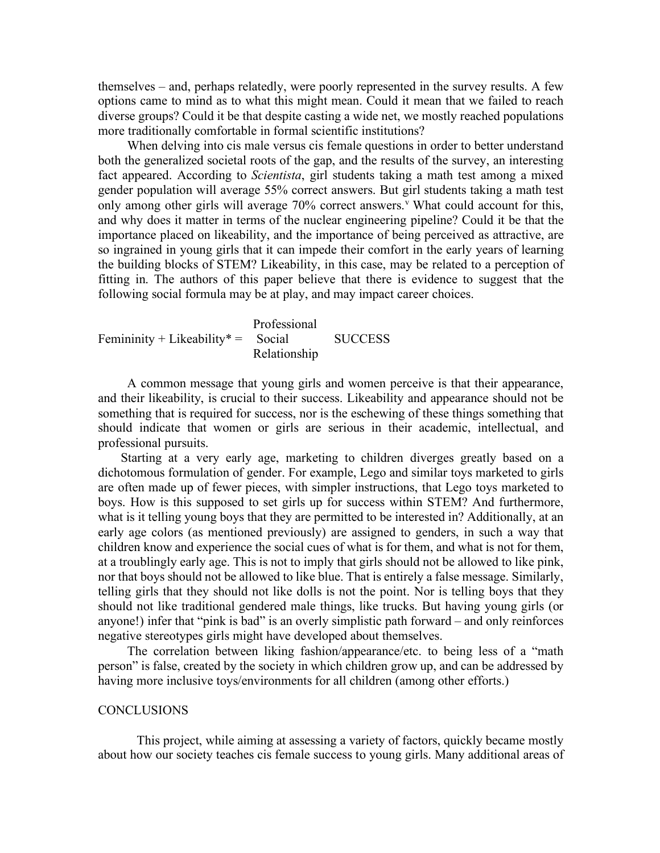themselves – and, perhaps relatedly, were poorly represented in the survey results. A few options came to mind as to what this might mean. Could it mean that we failed to reach diverse groups? Could it be that despite casting a wide net, we mostly reached populations more traditionally comfortable in formal scientific institutions?

 When delving into cis male versus cis female questions in order to better understand both the generalized societal roots of the gap, and the results of the survey, an interesting fact appeared. According to *Scientista*, girl students taking a math test among a mixed gender population will average 55% correct answers. But girl students taking a math test only among other girls will average  $70\%$  correct answers.<sup>v</sup> What could account for this, and why does it matter in terms of the nuclear engineering pipeline? Could it be that the importance placed on likeability, and the importance of being perceived as attractive, are so ingrained in young girls that it can impede their comfort in the early years of learning the building blocks of STEM? Likeability, in this case, may be related to a perception of fitting in. The authors of this paper believe that there is evidence to suggest that the following social formula may be at play, and may impact career choices.

 Professional Femininity + Likeability  $* =$  Social SUCCESS Relationship

 A common message that young girls and women perceive is that their appearance, and their likeability, is crucial to their success. Likeability and appearance should not be something that is required for success, nor is the eschewing of these things something that should indicate that women or girls are serious in their academic, intellectual, and professional pursuits.

 Starting at a very early age, marketing to children diverges greatly based on a dichotomous formulation of gender. For example, Lego and similar toys marketed to girls are often made up of fewer pieces, with simpler instructions, that Lego toys marketed to boys. How is this supposed to set girls up for success within STEM? And furthermore, what is it telling young boys that they are permitted to be interested in? Additionally, at an early age colors (as mentioned previously) are assigned to genders, in such a way that children know and experience the social cues of what is for them, and what is not for them, at a troublingly early age. This is not to imply that girls should not be allowed to like pink, nor that boys should not be allowed to like blue. That is entirely a false message. Similarly, telling girls that they should not like dolls is not the point. Nor is telling boys that they should not like traditional gendered male things, like trucks. But having young girls (or anyone!) infer that "pink is bad" is an overly simplistic path forward – and only reinforces negative stereotypes girls might have developed about themselves.

 The correlation between liking fashion/appearance/etc. to being less of a "math person" is false, created by the society in which children grow up, and can be addressed by having more inclusive toys/environments for all children (among other efforts.)

### **CONCLUSIONS**

This project, while aiming at assessing a variety of factors, quickly became mostly about how our society teaches cis female success to young girls. Many additional areas of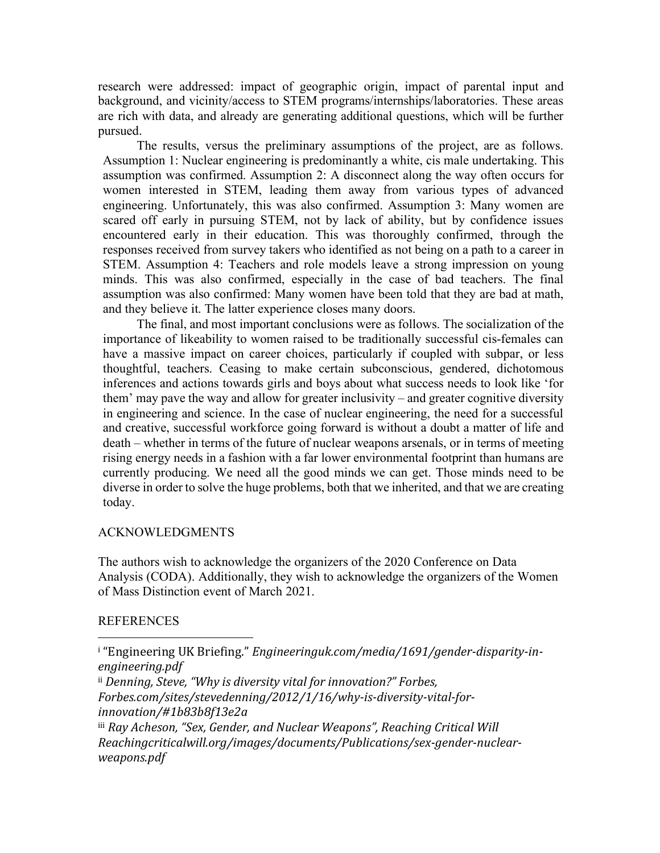research were addressed: impact of geographic origin, impact of parental input and background, and vicinity/access to STEM programs/internships/laboratories. These areas are rich with data, and already are generating additional questions, which will be further pursued.

The results, versus the preliminary assumptions of the project, are as follows. Assumption 1: Nuclear engineering is predominantly a white, cis male undertaking. This assumption was confirmed. Assumption 2: A disconnect along the way often occurs for women interested in STEM, leading them away from various types of advanced engineering. Unfortunately, this was also confirmed. Assumption 3: Many women are scared off early in pursuing STEM, not by lack of ability, but by confidence issues encountered early in their education. This was thoroughly confirmed, through the responses received from survey takers who identified as not being on a path to a career in STEM. Assumption 4: Teachers and role models leave a strong impression on young minds. This was also confirmed, especially in the case of bad teachers. The final assumption was also confirmed: Many women have been told that they are bad at math, and they believe it. The latter experience closes many doors.

The final, and most important conclusions were as follows. The socialization of the importance of likeability to women raised to be traditionally successful cis-females can have a massive impact on career choices, particularly if coupled with subpar, or less thoughtful, teachers. Ceasing to make certain subconscious, gendered, dichotomous inferences and actions towards girls and boys about what success needs to look like 'for them' may pave the way and allow for greater inclusivity – and greater cognitive diversity in engineering and science. In the case of nuclear engineering, the need for a successful and creative, successful workforce going forward is without a doubt a matter of life and death – whether in terms of the future of nuclear weapons arsenals, or in terms of meeting rising energy needs in a fashion with a far lower environmental footprint than humans are currently producing. We need all the good minds we can get. Those minds need to be diverse in order to solve the huge problems, both that we inherited, and that we are creating today.

## ACKNOWLEDGMENTS

 

The authors wish to acknowledge the organizers of the 2020 Conference on Data Analysis (CODA). Additionally, they wish to acknowledge the organizers of the Women of Mass Distinction event of March 2021.

#### **REFERENCES**

<sup>i</sup> "Engineering UK Briefing." Engineeringuk.com/media/1691/gender-disparity-in*engineering.pdf*

ii Denning, Steve, "Why is diversity vital for innovation?" Forbes, *Forbes.com/sites/stevedenning/2012/1/16/why-is-diversity-vital-forinnovation/#1b83b8f13e2a*

iii Ray Acheson, "Sex, Gender, and Nuclear Weapons", Reaching Critical Will *Reachingcriticalwill.org/images/documents/Publications/sex-gender-nuclearweapons.pdf*